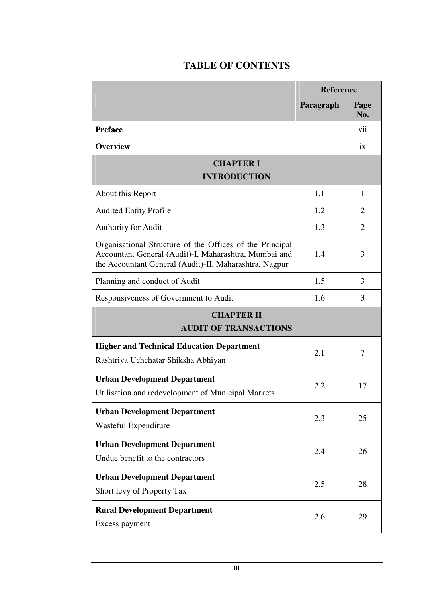## **TABLE OF CONTENTS**

|                                                                                                                                                                             | <b>Reference</b> |                |  |  |
|-----------------------------------------------------------------------------------------------------------------------------------------------------------------------------|------------------|----------------|--|--|
|                                                                                                                                                                             | Paragraph        | Page<br>No.    |  |  |
| <b>Preface</b>                                                                                                                                                              |                  | vii            |  |  |
| <b>Overview</b>                                                                                                                                                             |                  | ix             |  |  |
| <b>CHAPTER I</b><br><b>INTRODUCTION</b>                                                                                                                                     |                  |                |  |  |
| About this Report                                                                                                                                                           | 1.1              | 1              |  |  |
| <b>Audited Entity Profile</b>                                                                                                                                               | 1.2              | 2              |  |  |
| Authority for Audit                                                                                                                                                         | 1.3              | $\overline{2}$ |  |  |
| Organisational Structure of the Offices of the Principal<br>Accountant General (Audit)-I, Maharashtra, Mumbai and<br>the Accountant General (Audit)-II, Maharashtra, Nagpur | 1.4              | 3              |  |  |
| Planning and conduct of Audit                                                                                                                                               | 1.5              | 3              |  |  |
| Responsiveness of Government to Audit                                                                                                                                       | 1.6              | 3              |  |  |
| <b>CHAPTER II</b><br><b>AUDIT OF TRANSACTIONS</b>                                                                                                                           |                  |                |  |  |
| <b>Higher and Technical Education Department</b><br>Rashtriya Uchchatar Shiksha Abhiyan                                                                                     | 2.1              | 7              |  |  |
| <b>Urban Development Department</b><br>Utilisation and redevelopment of Municipal Markets                                                                                   | 2.2              | 17             |  |  |
| <b>Urban Development Department</b><br>Wasteful Expenditure                                                                                                                 | 2.3              | 25             |  |  |
| <b>Urban Development Department</b><br>Undue benefit to the contractors                                                                                                     | 2.4              | 26             |  |  |
| <b>Urban Development Department</b><br>Short levy of Property Tax                                                                                                           | 2.5              | 28             |  |  |
| <b>Rural Development Department</b><br>Excess payment                                                                                                                       | 2.6              | 29             |  |  |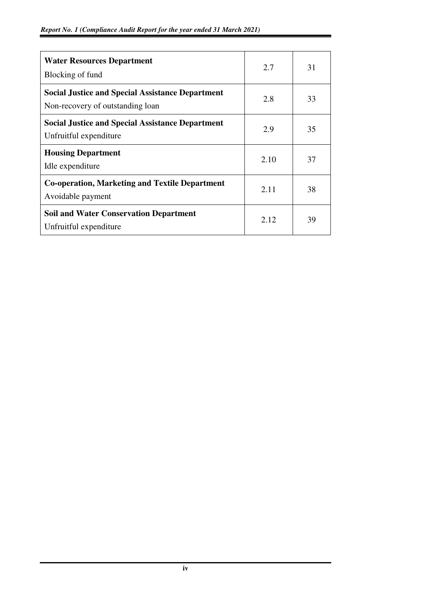| <b>Water Resources Department</b><br>Blocking of fund                                       | 2.7  | 31 |
|---------------------------------------------------------------------------------------------|------|----|
| <b>Social Justice and Special Assistance Department</b><br>Non-recovery of outstanding loan | 2.8  | 33 |
| <b>Social Justice and Special Assistance Department</b><br>Unfruitful expenditure           | 2.9  | 35 |
| <b>Housing Department</b><br>Idle expenditure                                               | 2.10 | 37 |
| <b>Co-operation, Marketing and Textile Department</b><br>Avoidable payment                  | 2.11 | 38 |
| <b>Soil and Water Conservation Department</b><br>Unfruitful expenditure                     | 2.12 | 39 |